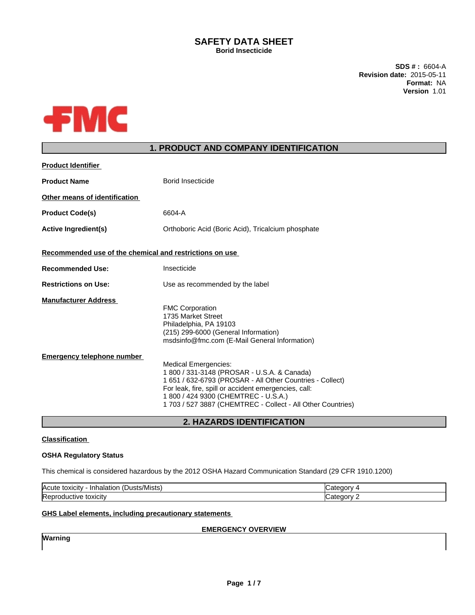## **SAFETY DATA SHEET Borid Insecticide**

**SDS # :** 6604-A **Revision date:** 2015-05-11 **Format:** NA **Version** 1.01



# **1. PRODUCT AND COMPANY IDENTIFICATION**

| <b>Product Identifier</b>                                        |                                                                                                                                                                                                                                                                                                                                                                                                                                                                           |
|------------------------------------------------------------------|---------------------------------------------------------------------------------------------------------------------------------------------------------------------------------------------------------------------------------------------------------------------------------------------------------------------------------------------------------------------------------------------------------------------------------------------------------------------------|
| <b>Product Name</b>                                              | Borid Insecticide                                                                                                                                                                                                                                                                                                                                                                                                                                                         |
| Other means of identification                                    |                                                                                                                                                                                                                                                                                                                                                                                                                                                                           |
| <b>Product Code(s)</b>                                           | 6604-A                                                                                                                                                                                                                                                                                                                                                                                                                                                                    |
| <b>Active Ingredient(s)</b>                                      | Orthoboric Acid (Boric Acid), Tricalcium phosphate                                                                                                                                                                                                                                                                                                                                                                                                                        |
| Recommended use of the chemical and restrictions on use          |                                                                                                                                                                                                                                                                                                                                                                                                                                                                           |
| <b>Recommended Use:</b>                                          | Insecticide                                                                                                                                                                                                                                                                                                                                                                                                                                                               |
| <b>Restrictions on Use:</b>                                      | Use as recommended by the label                                                                                                                                                                                                                                                                                                                                                                                                                                           |
| <b>Manufacturer Address</b><br><b>Emergency telephone number</b> | <b>FMC Corporation</b><br>1735 Market Street<br>Philadelphia, PA 19103<br>(215) 299-6000 (General Information)<br>msdsinfo@fmc.com (E-Mail General Information)<br><b>Medical Emergencies:</b><br>1 800 / 331-3148 (PROSAR - U.S.A. & Canada)<br>1 651 / 632-6793 (PROSAR - All Other Countries - Collect)<br>For leak, fire, spill or accident emergencies, call:<br>1 800 / 424 9300 (CHEMTREC - U.S.A.)<br>1 703 / 527 3887 (CHEMTREC - Collect - All Other Countries) |

**2. HAZARDS IDENTIFICATION**

## **Classification**

## **OSHA Regulatory Status**

This chemical is considered hazardous by the 2012 OSHA Hazard Communication Standard (29 CFR 1910.1200)

| $\mathbf{r}$<br><b>Acute</b><br>/Mists<br>toxicity<br>`usts <sub>≀</sub><br>- In'<br>naiatior |   |
|-----------------------------------------------------------------------------------------------|---|
| toxicity<br>"Yeni .<br>"ductive"                                                              | . |

### **GHS Label elements, including precautionary statements**

## **EMERGENCY OVERVIEW**

**Warning**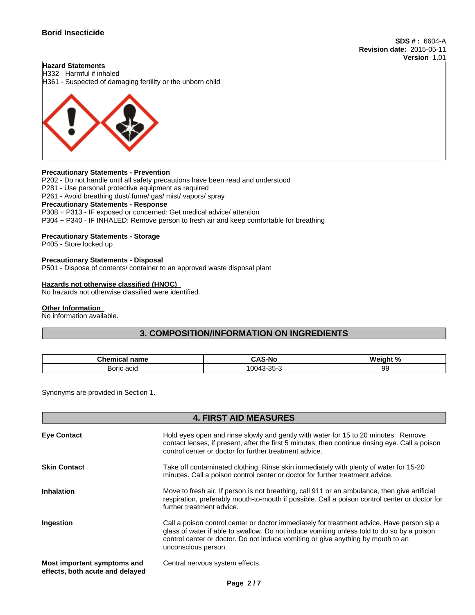**SDS # :** 6604-A **Revision date:** 2015-05-11 **Version** 1.01

## **Hazard Statements**

H332 - Harmful if inhaled H361 - Suspected of damaging fertility or the unborn child



### **Precautionary Statements - Prevention**

P202 - Do not handle until all safety precautions have been read and understood P281 - Use personal protective equipment as required P261 - Avoid breathing dust/ fume/ gas/ mist/ vapors/ spray **Precautionary Statements - Response** P308 + P313 - IF exposed or concerned: Get medical advice/ attention P304 + P340 - IF INHALED: Remove person to fresh air and keep comfortable for breathing

### **Precautionary Statements - Storage**

P405 - Store locked up

### **Precautionary Statements - Disposal**

P501 - Dispose of contents/ container to an approved waste disposal plant

### **Hazards not otherwise classified (HNOC)**

No hazards not otherwise classified were identified.

### **Other Information**

No information available.

# **3. COMPOSITION/INFORMATION ON INGREDIENTS**

| <b>Chamu</b><br>name<br>mıcal<br>. | <b>.</b><br>. и<br>$-11o$<br>-<br> | $M$ ainht % |
|------------------------------------|------------------------------------|-------------|
| soric.<br>201<br>aul               | n r<br>0043<br>--<br>−៶.           | uu<br>◡◡    |

Synonyms are provided in Section 1.

## **4. FIRST AID MEASURES**

| <b>Eye Contact</b>                                             | Hold eyes open and rinse slowly and gently with water for 15 to 20 minutes. Remove<br>contact lenses, if present, after the first 5 minutes, then continue rinsing eye. Call a poison<br>control center or doctor for further treatment advice.                                                     |
|----------------------------------------------------------------|-----------------------------------------------------------------------------------------------------------------------------------------------------------------------------------------------------------------------------------------------------------------------------------------------------|
| <b>Skin Contact</b>                                            | Take off contaminated clothing. Rinse skin immediately with plenty of water for 15-20<br>minutes. Call a poison control center or doctor for further treatment advice.                                                                                                                              |
| <b>Inhalation</b>                                              | Move to fresh air. If person is not breathing, call 911 or an ambulance, then give artificial<br>respiration, preferably mouth-to-mouth if possible. Call a poison control center or doctor for<br>further treatment advice.                                                                        |
| Ingestion                                                      | Call a poison control center or doctor immediately for treatment advice. Have person sip a<br>glass of water if able to swallow. Do not induce vomiting unless told to do so by a poison<br>control center or doctor. Do not induce vomiting or give anything by mouth to an<br>unconscious person. |
| Most important symptoms and<br>effects, both acute and delayed | Central nervous system effects.                                                                                                                                                                                                                                                                     |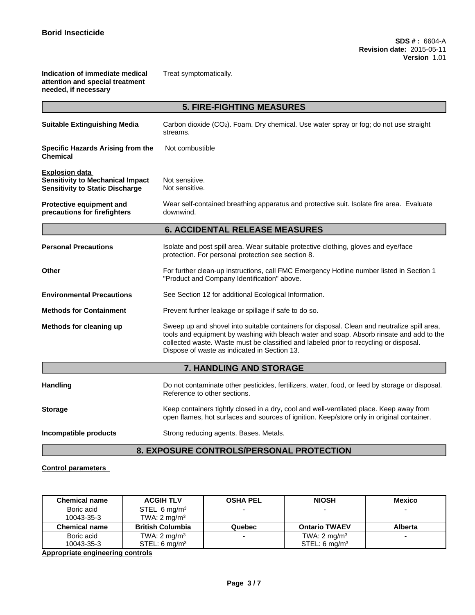**Indication of immediate medical attention and special treatment needed, if necessary**

Treat symptomatically.

|                                                                                                            | <b>5. FIRE-FIGHTING MEASURES</b>                                                                                                                                                                                                                                                                                                 |
|------------------------------------------------------------------------------------------------------------|----------------------------------------------------------------------------------------------------------------------------------------------------------------------------------------------------------------------------------------------------------------------------------------------------------------------------------|
| <b>Suitable Extinguishing Media</b>                                                                        | Carbon dioxide (CO <sub>2</sub> ). Foam. Dry chemical. Use water spray or fog; do not use straight<br>streams.                                                                                                                                                                                                                   |
| Specific Hazards Arising from the<br><b>Chemical</b>                                                       | Not combustible                                                                                                                                                                                                                                                                                                                  |
| <b>Explosion data</b><br><b>Sensitivity to Mechanical Impact</b><br><b>Sensitivity to Static Discharge</b> | Not sensitive.<br>Not sensitive.                                                                                                                                                                                                                                                                                                 |
| Protective equipment and<br>precautions for firefighters                                                   | Wear self-contained breathing apparatus and protective suit. Isolate fire area. Evaluate<br>downwind.                                                                                                                                                                                                                            |
|                                                                                                            | <b>6. ACCIDENTAL RELEASE MEASURES</b>                                                                                                                                                                                                                                                                                            |
| <b>Personal Precautions</b>                                                                                | Isolate and post spill area. Wear suitable protective clothing, gloves and eye/face<br>protection. For personal protection see section 8.                                                                                                                                                                                        |
| Other                                                                                                      | For further clean-up instructions, call FMC Emergency Hotline number listed in Section 1<br>"Product and Company Identification" above.                                                                                                                                                                                          |
| <b>Environmental Precautions</b>                                                                           | See Section 12 for additional Ecological Information.                                                                                                                                                                                                                                                                            |
| <b>Methods for Containment</b>                                                                             | Prevent further leakage or spillage if safe to do so.                                                                                                                                                                                                                                                                            |
| Methods for cleaning up                                                                                    | Sweep up and shovel into suitable containers for disposal. Clean and neutralize spill area,<br>tools and equipment by washing with bleach water and soap. Absorb rinsate and add to the<br>collected waste. Waste must be classified and labeled prior to recycling or disposal.<br>Dispose of waste as indicated in Section 13. |
|                                                                                                            | 7. HANDLING AND STORAGE                                                                                                                                                                                                                                                                                                          |
| <b>Handling</b>                                                                                            | Do not contaminate other pesticides, fertilizers, water, food, or feed by storage or disposal.<br>Reference to other sections.                                                                                                                                                                                                   |
| <b>Storage</b>                                                                                             | Keep containers tightly closed in a dry, cool and well-ventilated place. Keep away from<br>open flames, hot surfaces and sources of ignition. Keep/store only in original container.                                                                                                                                             |
| Incompatible products                                                                                      | Strong reducing agents. Bases. Metals.                                                                                                                                                                                                                                                                                           |

# **8. EXPOSURE CONTROLS/PERSONAL PROTECTION**

## **Control parameters**

| <b>Chemical name</b> | <b>ACGIH TLV</b>          | <b>OSHA PEL</b> | <b>NIOSH</b>              | <b>Mexico</b>            |
|----------------------|---------------------------|-----------------|---------------------------|--------------------------|
| Boric acid           | STEL 6 mg/m <sup>3</sup>  |                 | -                         |                          |
| 10043-35-3           | TWA: $2 \text{ mg/m}^3$   |                 |                           |                          |
| Chemical name        | <b>British Columbia</b>   | Quebec          | <b>Ontario TWAEV</b>      | <b>Alberta</b>           |
| Boric acid           | TWA: $2 \text{ mg/m}^3$   |                 | TWA: $2 \text{ mg/m}^3$   | $\overline{\phantom{0}}$ |
| 10043-35-3           | STEL: 6 mg/m <sup>3</sup> |                 | STEL: 6 mg/m <sup>3</sup> |                          |

**Appropriate engineering controls**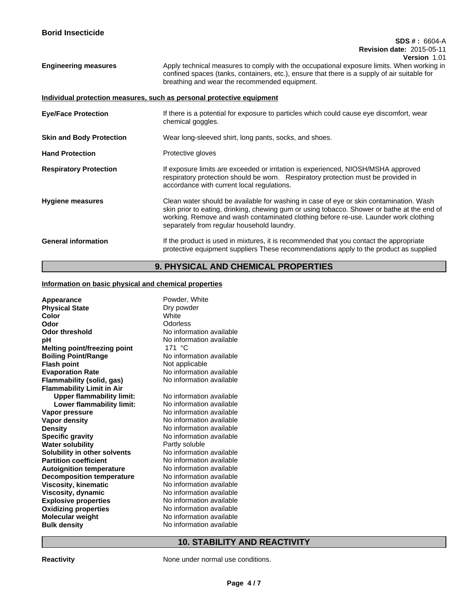### **SDS # :** 6604-A **Revision date:** 2015-05-11 **Version** 1.01

**Engineering measures** Apply technical measures to comply with the occupational exposure limits. When working in confined spaces (tanks, containers, etc.), ensure that there is a supply of air suitable for breathing and wear the recommended equipment.

## **Individual protection measures, such as personal protective equipment**

| <b>Eye/Face Protection</b>      | If there is a potential for exposure to particles which could cause eye discomfort, wear<br>chemical goggles.                                                                                                                                                                                                              |
|---------------------------------|----------------------------------------------------------------------------------------------------------------------------------------------------------------------------------------------------------------------------------------------------------------------------------------------------------------------------|
| <b>Skin and Body Protection</b> | Wear long-sleeved shirt, long pants, socks, and shoes.                                                                                                                                                                                                                                                                     |
| <b>Hand Protection</b>          | Protective gloves                                                                                                                                                                                                                                                                                                          |
| <b>Respiratory Protection</b>   | If exposure limits are exceeded or irritation is experienced, NIOSH/MSHA approved<br>respiratory protection should be worn. Respiratory protection must be provided in<br>accordance with current local regulations.                                                                                                       |
| <b>Hygiene measures</b>         | Clean water should be available for washing in case of eye or skin contamination. Wash<br>skin prior to eating, drinking, chewing gum or using tobacco. Shower or bathe at the end of<br>working. Remove and wash contaminated clothing before re-use. Launder work clothing<br>separately from regular household laundry. |
| <b>General information</b>      | If the product is used in mixtures, it is recommended that you contact the appropriate<br>protective equipment suppliers These recommendations apply to the product as supplied                                                                                                                                            |

# **9. PHYSICAL AND CHEMICAL PROPERTIES**

## **Information on basic physical and chemical properties**

| Appearance                          | Powder, White            |
|-------------------------------------|--------------------------|
| <b>Physical State</b>               | Dry powder               |
| Color                               | White                    |
| Odor                                | Odorless                 |
| <b>Odor threshold</b>               | No information available |
| рH                                  | No information available |
| <b>Melting point/freezing point</b> | 171 °C                   |
| <b>Boiling Point/Range</b>          | No information available |
| <b>Flash point</b>                  | Not applicable           |
| <b>Evaporation Rate</b>             | No information available |
| Flammability (solid, gas)           | No information available |
| <b>Flammability Limit in Air</b>    |                          |
| <b>Upper flammability limit:</b>    | No information available |
| Lower flammability limit:           | No information available |
| Vapor pressure                      | No information available |
| <b>Vapor density</b>                | No information available |
| <b>Density</b>                      | No information available |
| <b>Specific gravity</b>             | No information available |
| <b>Water solubility</b>             | Partly soluble           |
| Solubility in other solvents        | No information available |
| <b>Partition coefficient</b>        | No information available |
| <b>Autoignition temperature</b>     | No information available |
| <b>Decomposition temperature</b>    | No information available |
| <b>Viscosity, kinematic</b>         | No information available |
| Viscosity, dynamic                  | No information available |
| <b>Explosive properties</b>         | No information available |
| <b>Oxidizing properties</b>         | No information available |
| <b>Molecular weight</b>             | No information available |
| <b>Bulk density</b>                 | No information available |
|                                     |                          |

# **10. STABILITY AND REACTIVITY**

**Reactivity Reactivity Reactivity Reactivity Reactivity Reactivity Reactivity Reactivity Reactivity Reactivity Reactivity Reactivity Reactivity Reactivity Reactivity**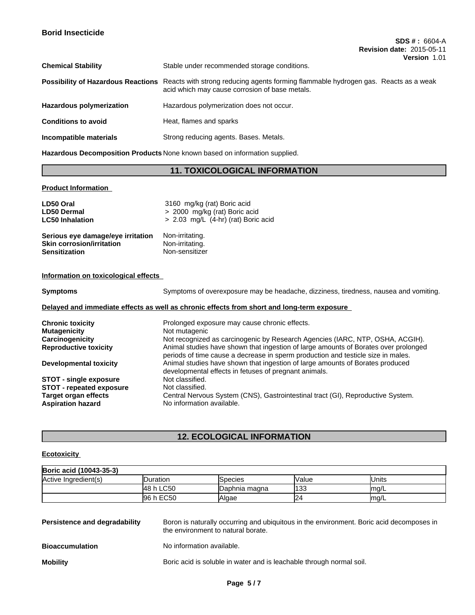| <b>Chemical Stability</b>                 | Stable under recommended storage conditions.                                                                                          |
|-------------------------------------------|---------------------------------------------------------------------------------------------------------------------------------------|
| <b>Possibility of Hazardous Reactions</b> | Reacts with strong reducing agents forming flammable hydrogen gas. Reacts as a weak<br>acid which may cause corrosion of base metals. |
| <b>Hazardous polymerization</b>           | Hazardous polymerization does not occur.                                                                                              |
| <b>Conditions to avoid</b>                | Heat, flames and sparks                                                                                                               |
| Incompatible materials                    | Strong reducing agents. Bases. Metals.                                                                                                |

**Hazardous Decomposition Products** None known based on information supplied.

# **11. TOXICOLOGICAL INFORMATION**

**Product Information** 

| LD50 Oral                         | 3160 mg/kg (rat) Boric acid           |
|-----------------------------------|---------------------------------------|
| <b>LD50 Dermal</b>                | > 2000 mg/kg (rat) Boric acid         |
| <b>LC50 Inhalation</b>            | $> 2.03$ mg/L (4-hr) (rat) Boric acid |
| Serious eye damage/eye irritation | Non-irritating.                       |
| <b>Skin corrosion/irritation</b>  | Non-irritating.                       |
| <b>Sensitization</b>              | Non-sensitizer                        |
|                                   |                                       |

## **Information on toxicological effects**

| Symptoms                        | Symptoms of overexposure may be headache, dizziness, tiredness, nausea and vomiting.                                                                                    |  |
|---------------------------------|-------------------------------------------------------------------------------------------------------------------------------------------------------------------------|--|
|                                 | Delayed and immediate effects as well as chronic effects from short and long-term exposure                                                                              |  |
| Chronic toxicity                | Prolonged exposure may cause chronic effects.                                                                                                                           |  |
| Mutagenicity                    | Not mutagenic                                                                                                                                                           |  |
| <b>Carcinogenicity</b>          | Not recognized as carcinogenic by Research Agencies (IARC, NTP, OSHA, ACGIH).                                                                                           |  |
| <b>Reproductive toxicity</b>    | Animal studies have shown that ingestion of large amounts of Borates over prolonged<br>periods of time cause a decrease in sperm production and testicle size in males. |  |
| Developmental toxicity          | Animal studies have shown that ingestion of large amounts of Borates produced<br>developmental effects in fetuses of pregnant animals.                                  |  |
| <b>STOT - single exposure</b>   | Not classified.                                                                                                                                                         |  |
| <b>STOT - repeated exposure</b> | Not classified.                                                                                                                                                         |  |
| Target organ effects            | Central Nervous System (CNS), Gastrointestinal tract (GI), Reproductive System.                                                                                         |  |
| <b>Aspiration hazard</b>        | No information available.                                                                                                                                               |  |

# **12. ECOLOGICAL INFORMATION**

## **Ecotoxicity**

| Boric acid (10043-35-3) |                  |                |       |        |  |
|-------------------------|------------------|----------------|-------|--------|--|
| Active Ingredient(s)    | <b>IDuration</b> | Species        | Value | lUnits |  |
|                         | 48 h LC50        | lDaphnia magna | 133   | ma/L   |  |
|                         | 96 h EC50        | Algae          |       | ma/L   |  |

| Persistence and degradability | Boron is naturally occurring and ubiquitous in the environment. Boric acid decomposes in<br>the environment to natural borate. |
|-------------------------------|--------------------------------------------------------------------------------------------------------------------------------|
| <b>Bioaccumulation</b>        | No information available.                                                                                                      |
| <b>Mobility</b>               | Boric acid is soluble in water and is leachable through normal soil.                                                           |
|                               |                                                                                                                                |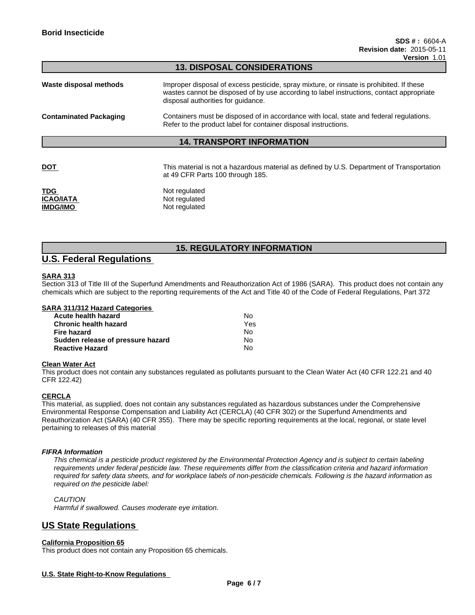## **13. DISPOSAL CONSIDERATIONS**

### **14. TRANSPORT INFORMATION**

**DOT This material is not a hazardous material as defined by U.S. Department of Transportation** at 49 CFR Parts 100 through 185.

| TDG       | Not regulated |
|-----------|---------------|
| ICAO/IATA | Not regulated |
| IMDG/IMO  | Not regulated |

# **15. REGULATORY INFORMATION**

# **U.S. Federal Regulations**

### **SARA 313**

Section 313 of Title III of the Superfund Amendments and Reauthorization Act of 1986 (SARA). This product does not contain any chemicals which are subject to the reporting requirements of the Act and Title 40 of the Code of Federal Regulations, Part 372

### **SARA 311/312 Hazard Categories**

| Acute health hazard               | No. |
|-----------------------------------|-----|
| <b>Chronic health hazard</b>      | Yes |
| Fire hazard                       | N٥  |
| Sudden release of pressure hazard | No. |
| <b>Reactive Hazard</b>            | N٥  |

### **Clean Water Act**

This product does not contain any substances regulated as pollutants pursuant to the Clean Water Act (40 CFR 122.21 and 40 CFR 122.42)

### **CERCLA**

This material, as supplied, does not contain any substances regulated as hazardous substances under the Comprehensive Environmental Response Compensation and Liability Act (CERCLA) (40 CFR 302) or the Superfund Amendments and Reauthorization Act (SARA) (40 CFR 355). There may be specific reporting requirements at the local, regional, or state level pertaining to releases of this material

### *FIFRA Information*

*This chemical is a pesticide product registered by the Environmental Protection Agency and is subject to certain labeling requirements under federal pesticide law. These requirements differ from the classification criteria and hazard information required for safety data sheets, and for workplace labels of non-pesticide chemicals. Following is the hazard information as required on the pesticide label:*

### *CAUTION*

*Harmful if swallowed. Causes moderate eye irritation.*

# **US State Regulations**

### **California Proposition 65**

This product does not contain any Proposition 65 chemicals.

### **U.S. State Right-to-Know Regulations**